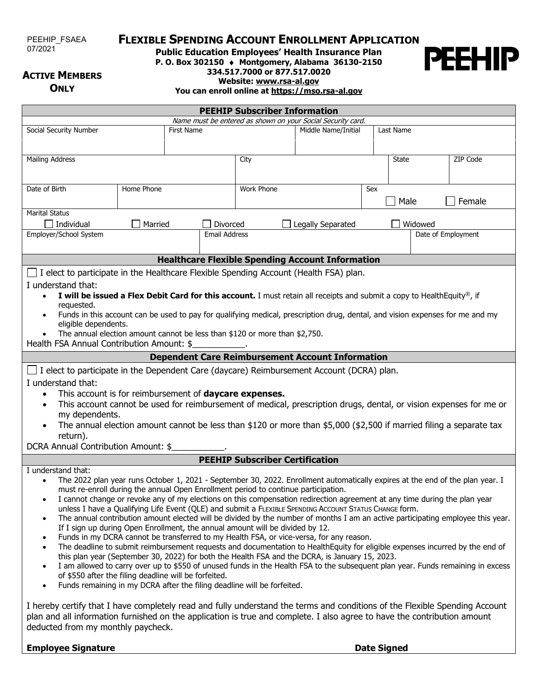PEEHIP\_FSAEA 07/2021

## **FLEXIBLE SPENDING ACCOUNT ENROLLMENT APPLICATION**

**Public Education Employees' Health Insurance Plan**

**P. O. Box 302150** ♦ **Montgomery, Alabama 36130-2150**

**334.517.7000 or 877.517.0020**

### **ACTIVE MEMBERS ONLY**

**PEEHIP** 

**Website: [www.rsa-al.gov](http://www.rsa-al.gov/)**

**You can enroll online a[t https://mso.rsa-al.gov](https://mso.rsa-al.gov/)**

| <b>PEEHIP Subscriber Information</b>                                                                                                                                                                                                                                                                                                                                                                                                                                                                                                                                                                                                                                                                                                                                                                                                                                                                                                                                                                                                                                                                                                                                                                                                                                                                                                                           |            |                   |                   |                          |       |                               |          |
|----------------------------------------------------------------------------------------------------------------------------------------------------------------------------------------------------------------------------------------------------------------------------------------------------------------------------------------------------------------------------------------------------------------------------------------------------------------------------------------------------------------------------------------------------------------------------------------------------------------------------------------------------------------------------------------------------------------------------------------------------------------------------------------------------------------------------------------------------------------------------------------------------------------------------------------------------------------------------------------------------------------------------------------------------------------------------------------------------------------------------------------------------------------------------------------------------------------------------------------------------------------------------------------------------------------------------------------------------------------|------------|-------------------|-------------------|--------------------------|-------|-------------------------------|----------|
| Name must be entered as shown on your Social Security card.                                                                                                                                                                                                                                                                                                                                                                                                                                                                                                                                                                                                                                                                                                                                                                                                                                                                                                                                                                                                                                                                                                                                                                                                                                                                                                    |            |                   |                   |                          |       |                               |          |
| Social Security Number                                                                                                                                                                                                                                                                                                                                                                                                                                                                                                                                                                                                                                                                                                                                                                                                                                                                                                                                                                                                                                                                                                                                                                                                                                                                                                                                         |            | <b>First Name</b> |                   | Middle Name/Initial      |       | Last Name                     |          |
| <b>Mailing Address</b>                                                                                                                                                                                                                                                                                                                                                                                                                                                                                                                                                                                                                                                                                                                                                                                                                                                                                                                                                                                                                                                                                                                                                                                                                                                                                                                                         |            |                   | City              |                          | State |                               | ZIP Code |
| Date of Birth                                                                                                                                                                                                                                                                                                                                                                                                                                                                                                                                                                                                                                                                                                                                                                                                                                                                                                                                                                                                                                                                                                                                                                                                                                                                                                                                                  | Home Phone |                   |                   | <b>Work Phone</b><br>Sex |       | Male<br>Female                |          |
| <b>Marital Status</b><br>Individual<br>Married<br>Divorced<br>Employer/School System<br><b>Email Address</b>                                                                                                                                                                                                                                                                                                                                                                                                                                                                                                                                                                                                                                                                                                                                                                                                                                                                                                                                                                                                                                                                                                                                                                                                                                                   |            |                   | Legally Separated |                          |       | Widowed<br>Date of Employment |          |
|                                                                                                                                                                                                                                                                                                                                                                                                                                                                                                                                                                                                                                                                                                                                                                                                                                                                                                                                                                                                                                                                                                                                                                                                                                                                                                                                                                |            |                   |                   |                          |       |                               |          |
| <b>Healthcare Flexible Spending Account Information</b><br>I elect to participate in the Healthcare Flexible Spending Account (Health FSA) plan.<br>I understand that:<br>I will be issued a Flex Debit Card for this account. I must retain all receipts and submit a copy to HealthEquity®, if<br>$\bullet$<br>requested.<br>Funds in this account can be used to pay for qualifying medical, prescription drug, dental, and vision expenses for me and my<br>eligible dependents.<br>The annual election amount cannot be less than \$120 or more than \$2,750.<br>Health FSA Annual Contribution Amount: \$<br><b>Dependent Care Reimbursement Account Information</b><br>$\Box$ I elect to participate in the Dependent Care (daycare) Reimbursement Account (DCRA) plan.<br>I understand that:<br>This account is for reimbursement of <b>daycare expenses.</b><br>This account cannot be used for reimbursement of medical, prescription drugs, dental, or vision expenses for me or<br>$\bullet$<br>my dependents.<br>The annual election amount cannot be less than \$120 or more than \$5,000 (\$2,500 if married filing a separate tax<br>return).<br>DCRA Annual Contribution Amount: \$                                                                                                                                                           |            |                   |                   |                          |       |                               |          |
| <b>PEEHIP Subscriber Certification</b>                                                                                                                                                                                                                                                                                                                                                                                                                                                                                                                                                                                                                                                                                                                                                                                                                                                                                                                                                                                                                                                                                                                                                                                                                                                                                                                         |            |                   |                   |                          |       |                               |          |
| I understand that:<br>The 2022 plan year runs October 1, 2021 - September 30, 2022. Enrollment automatically expires at the end of the plan year. I<br>must re-enroll during the annual Open Enrollment period to continue participation.<br>• I cannot change or revoke any of my elections on this compensation redirection agreement at any time during the plan year<br>unless I have a Qualifying Life Event (QLE) and submit a FLEXIBLE SPENDING ACCOUNT STATUS CHANGE form.<br>The annual contribution amount elected will be divided by the number of months I am an active participating employee this year.<br>$\bullet$<br>If I sign up during Open Enrollment, the annual amount will be divided by 12.<br>Funds in my DCRA cannot be transferred to my Health FSA, or vice-versa, for any reason.<br>The deadline to submit reimbursement requests and documentation to HealthEquity for eligible expenses incurred by the end of<br>$\bullet$<br>this plan year (September 30, 2022) for both the Health FSA and the DCRA, is January 15, 2023.<br>I am allowed to carry over up to \$550 of unused funds in the Health FSA to the subsequent plan year. Funds remaining in excess<br>$\bullet$<br>of \$550 after the filing deadline will be forfeited.<br>Funds remaining in my DCRA after the filing deadline will be forfeited.<br>$\bullet$ |            |                   |                   |                          |       |                               |          |

I hereby certify that I have completely read and fully understand the terms and conditions of the Flexible Spending Account plan and all information furnished on the application is true and complete. I also agree to have the contribution amount deducted from my monthly paycheck.

**Employee Signature Date Signature Date Signed**